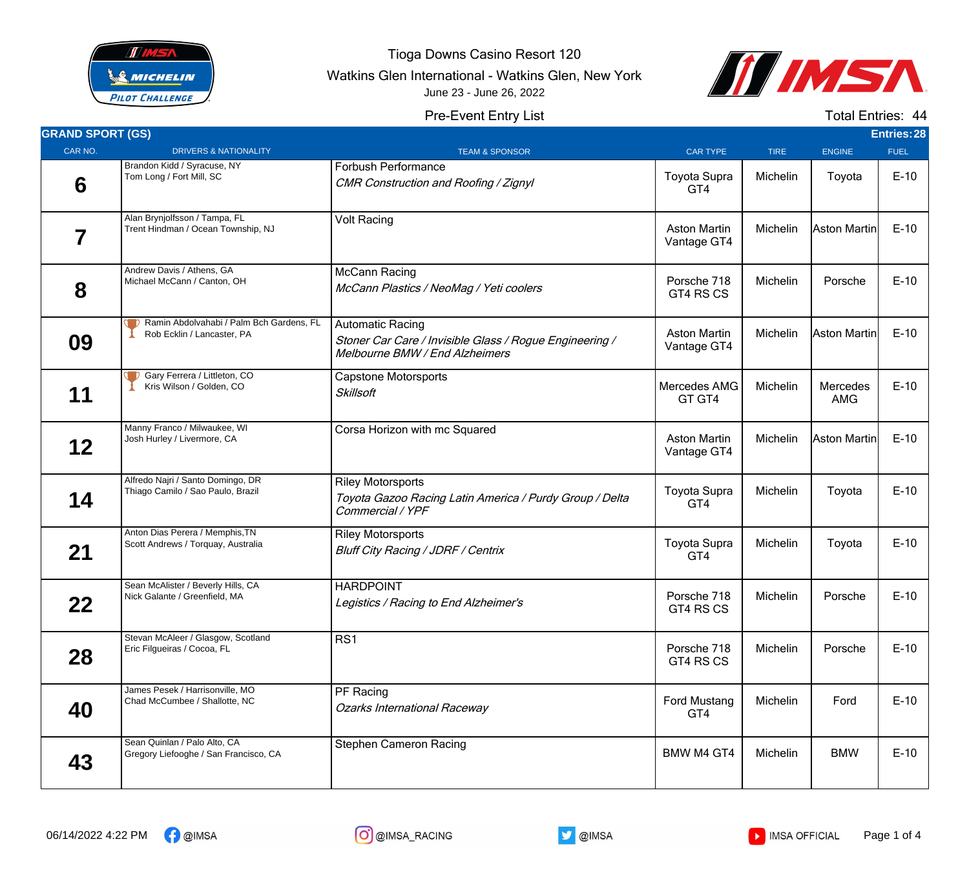

Tioga Downs Casino Resort 120

Watkins Glen International - Watkins Glen, New York





## Pre-Event Entry List

Total Entries: 44

| <b>GRAND SPORT (GS)</b> |                                                                        |                                                                                                                      |                                    |             |                        | <b>Entries:28</b> |
|-------------------------|------------------------------------------------------------------------|----------------------------------------------------------------------------------------------------------------------|------------------------------------|-------------|------------------------|-------------------|
| CAR NO.                 | <b>DRIVERS &amp; NATIONALITY</b>                                       | <b>TEAM &amp; SPONSOR</b>                                                                                            | <b>CAR TYPE</b>                    | <b>TIRE</b> | <b>ENGINE</b>          | <b>FUEL</b>       |
| 6                       | Brandon Kidd / Syracuse, NY<br>Tom Long / Fort Mill, SC                | Forbush Performance<br>CMR Construction and Roofing / Zignyl                                                         | <b>Toyota Supra</b><br>GT4         | Michelin    | Toyota                 | $E-10$            |
| 7                       | Alan Brynjolfsson / Tampa, FL<br>Trent Hindman / Ocean Township, NJ    | <b>Volt Racing</b>                                                                                                   | <b>Aston Martin</b><br>Vantage GT4 | Michelin    | Aston Martin           | $E-10$            |
| 8                       | Andrew Davis / Athens, GA<br>Michael McCann / Canton, OH               | McCann Racing<br>McCann Plastics / NeoMag / Yeti coolers                                                             | Porsche 718<br>GT4 RS CS           | Michelin    | Porsche                | $E-10$            |
| 09                      | Ramin Abdolvahabi / Palm Bch Gardens, FL<br>Rob Ecklin / Lancaster, PA | <b>Automatic Racing</b><br>Stoner Car Care / Invisible Glass / Rogue Engineering /<br>Melbourne BMW / End Alzheimers | <b>Aston Martin</b><br>Vantage GT4 | Michelin    | Aston Martin           | $E-10$            |
| 11                      | Gary Ferrera / Littleton, CO<br>Kris Wilson / Golden, CO               | <b>Capstone Motorsports</b><br><b>Skillsoft</b>                                                                      | Mercedes AMG<br>GT GT4             | Michelin    | Mercedes<br><b>AMG</b> | $E-10$            |
| 12                      | Manny Franco / Milwaukee, WI<br>Josh Hurley / Livermore, CA            | Corsa Horizon with mc Squared                                                                                        | <b>Aston Martin</b><br>Vantage GT4 | Michelin    | Aston Martin           | $E-10$            |
| 14                      | Alfredo Najri / Santo Domingo, DR<br>Thiago Camilo / Sao Paulo, Brazil | <b>Riley Motorsports</b><br>Toyota Gazoo Racing Latin America / Purdy Group / Delta<br>Commercial / YPF              | <b>Toyota Supra</b><br>GT4         | Michelin    | Toyota                 | $E-10$            |
| 21                      | Anton Dias Perera / Memphis, TN<br>Scott Andrews / Torquay, Australia  | <b>Riley Motorsports</b><br>Bluff City Racing / JDRF / Centrix                                                       | <b>Toyota Supra</b><br>GT4         | Michelin    | Toyota                 | $E-10$            |
| 22                      | Sean McAlister / Beverly Hills, CA<br>Nick Galante / Greenfield, MA    | <b>HARDPOINT</b><br>Legistics / Racing to End Alzheimer's                                                            | Porsche 718<br>GT4 RS CS           | Michelin    | Porsche                | $E-10$            |
| 28                      | Stevan McAleer / Glasgow, Scotland<br>Eric Filgueiras / Cocoa, FL      | RS1                                                                                                                  | Porsche 718<br>GT4 RS CS           | Michelin    | Porsche                | $E-10$            |
| 40                      | James Pesek / Harrisonville, MO<br>Chad McCumbee / Shallotte, NC       | PF Racing<br><b>Ozarks International Raceway</b>                                                                     | Ford Mustang<br>GT4                | Michelin    | Ford                   | $E-10$            |
| 43                      | Sean Quinlan / Palo Alto, CA<br>Gregory Liefooghe / San Francisco, CA  | <b>Stephen Cameron Racing</b>                                                                                        | <b>BMW M4 GT4</b>                  | Michelin    | <b>BMW</b>             | $E-10$            |



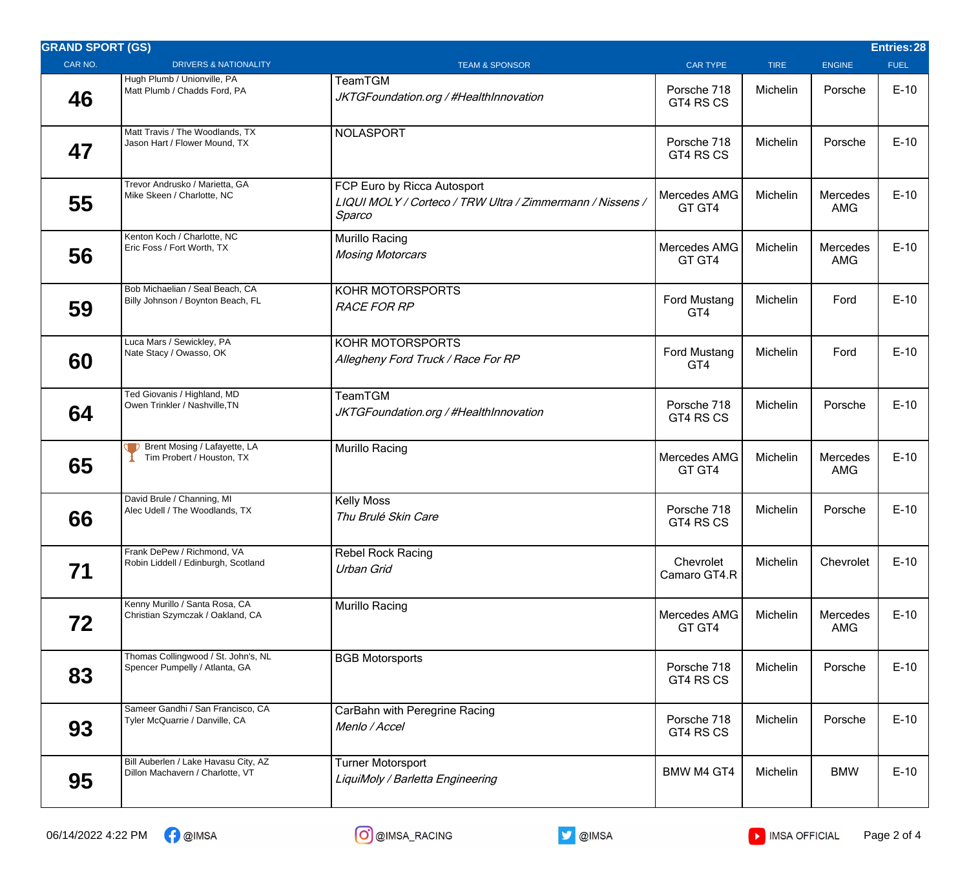| <b>GRAND SPORT (GS)</b> |                                                                          |                                                                                                    |                            |             |                        | Entries: 28 |
|-------------------------|--------------------------------------------------------------------------|----------------------------------------------------------------------------------------------------|----------------------------|-------------|------------------------|-------------|
| CAR NO.                 | <b>DRIVERS &amp; NATIONALITY</b>                                         | <b>TEAM &amp; SPONSOR</b>                                                                          | <b>CAR TYPE</b>            | <b>TIRE</b> | <b>ENGINE</b>          | <b>FUEL</b> |
| 46                      | Hugh Plumb / Unionville, PA<br>Matt Plumb / Chadds Ford, PA              | TeamTGM<br>JKTGFoundation.org / #HealthInnovation                                                  | Porsche 718<br>GT4 RS CS   | Michelin    | Porsche                | $E-10$      |
| 47                      | Matt Travis / The Woodlands, TX<br>Jason Hart / Flower Mound, TX         | <b>NOLASPORT</b>                                                                                   | Porsche 718<br>GT4 RS CS   | Michelin    | Porsche                | $E-10$      |
| 55                      | Trevor Andrusko / Marietta, GA<br>Mike Skeen / Charlotte, NC             | FCP Euro by Ricca Autosport<br>LIQUI MOLY / Corteco / TRW Ultra / Zimmermann / Nissens /<br>Sparco | Mercedes AMG<br>GT GT4     | Michelin    | Mercedes<br><b>AMG</b> | $E-10$      |
| 56                      | Kenton Koch / Charlotte, NC<br>Eric Foss / Fort Worth, TX                | Murillo Racing<br><b>Mosing Motorcars</b>                                                          | Mercedes AMG<br>GT GT4     | Michelin    | Mercedes<br><b>AMG</b> | $E-10$      |
| 59                      | Bob Michaelian / Seal Beach, CA<br>Billy Johnson / Boynton Beach, FL     | KOHR MOTORSPORTS<br><b>RACE FOR RP</b>                                                             | <b>Ford Mustang</b><br>GT4 | Michelin    | Ford                   | $E-10$      |
| 60                      | Luca Mars / Sewickley, PA<br>Nate Stacy / Owasso, OK                     | KOHR MOTORSPORTS<br>Allegheny Ford Truck / Race For RP                                             | <b>Ford Mustang</b><br>GT4 | Michelin    | Ford                   | $E-10$      |
| 64                      | Ted Giovanis / Highland, MD<br>Owen Trinkler / Nashville, TN             | <b>TeamTGM</b><br>JKTGFoundation.org / #HealthInnovation                                           | Porsche 718<br>GT4 RS CS   | Michelin    | Porsche                | $E-10$      |
| 65                      | Brent Mosing / Lafayette, LA<br>Tim Probert / Houston, TX                | Murillo Racing                                                                                     | Mercedes AMG<br>GT GT4     | Michelin    | Mercedes<br><b>AMG</b> | $E-10$      |
| 66                      | David Brule / Channing, MI<br>Alec Udell / The Woodlands, TX             | <b>Kelly Moss</b><br>Thu Brulé Skin Care                                                           | Porsche 718<br>GT4 RS CS   | Michelin    | Porsche                | $E-10$      |
| 71                      | Frank DePew / Richmond, VA<br>Robin Liddell / Edinburgh, Scotland        | <b>Rebel Rock Racing</b><br>Urban Grid                                                             | Chevrolet<br>Camaro GT4.R  | Michelin    | Chevrolet              | $E-10$      |
| 72                      | Kenny Murillo / Santa Rosa, CA<br>Christian Szymczak / Oakland, CA       | Murillo Racing                                                                                     | Mercedes AMG<br>GT GT4     | Michelin    | Mercedes<br><b>AMG</b> | $E-10$      |
| 83                      | Thomas Collingwood / St. John's, NL<br>Spencer Pumpelly / Atlanta, GA    | <b>BGB Motorsports</b>                                                                             | Porsche 718<br>GT4 RS CS   | Michelin    | Porsche                | $E-10$      |
| 93                      | Sameer Gandhi / San Francisco, CA<br>Tyler McQuarrie / Danville, CA      | CarBahn with Peregrine Racing<br>Menlo / Accel                                                     | Porsche 718<br>GT4 RS CS   | Michelin    | Porsche                | $E-10$      |
| 95                      | Bill Auberlen / Lake Havasu City, AZ<br>Dillon Machavern / Charlotte, VT | <b>Turner Motorsport</b><br>LiquiMoly / Barletta Engineering                                       | BMW M4 GT4                 | Michelin    | <b>BMW</b>             | $E-10$      |

06/14/2022 4:22 PM <sup>P</sup> @IMSA **CO** @IMSA\_RACING **D** @IMSA NO @IMSA NO & MSA OFFICIAL Page 2 of 4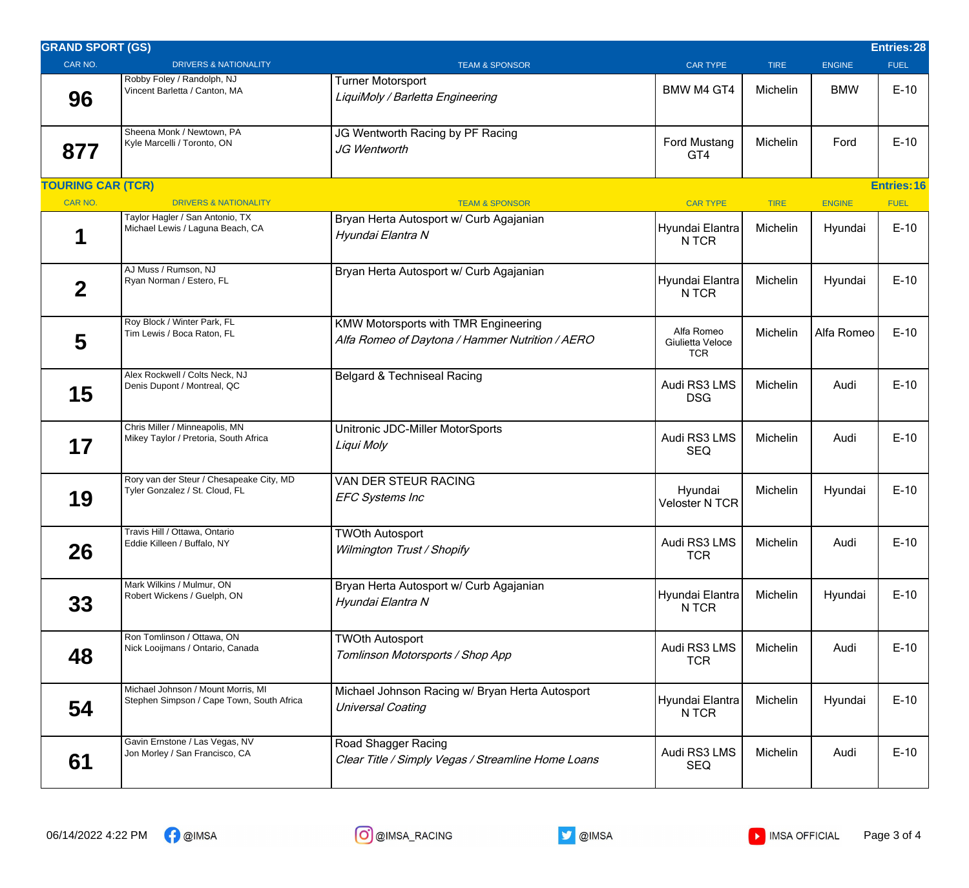| <b>GRAND SPORT (GS)</b>  |                                                                                 |                                                                                                |                                              |             |               | <b>Entries:28</b>  |
|--------------------------|---------------------------------------------------------------------------------|------------------------------------------------------------------------------------------------|----------------------------------------------|-------------|---------------|--------------------|
| CAR NO.                  | <b>DRIVERS &amp; NATIONALITY</b>                                                | <b>TEAM &amp; SPONSOR</b>                                                                      | <b>CAR TYPE</b>                              | <b>TIRE</b> | <b>ENGINE</b> | <b>FUEL</b>        |
| 96                       | Robby Foley / Randolph, NJ<br>Vincent Barletta / Canton, MA                     | <b>Turner Motorsport</b><br>LiquiMoly / Barletta Engineering                                   | <b>BMW M4 GT4</b>                            | Michelin    | <b>BMW</b>    | $E-10$             |
| 877                      | Sheena Monk / Newtown, PA<br>Kyle Marcelli / Toronto, ON                        | JG Wentworth Racing by PF Racing<br>JG Wentworth                                               | <b>Ford Mustang</b><br>GT4                   | Michelin    | Ford          | $E-10$             |
| <b>TOURING CAR (TCR)</b> |                                                                                 |                                                                                                |                                              |             |               | <b>Entries: 16</b> |
| CAR NO.                  | <b>DRIVERS &amp; NATIONALITY</b>                                                | <b>TEAM &amp; SPONSOR</b>                                                                      | <b>CAR TYPE</b>                              | <b>TIRE</b> | <b>ENGINE</b> | <b>FUEL</b>        |
|                          | Taylor Hagler / San Antonio, TX<br>Michael Lewis / Laguna Beach, CA             | Bryan Herta Autosport w/ Curb Agajanian<br>Hyundai Elantra N                                   | Hyundai Elantra<br>N TCR                     | Michelin    | Hyundai       | $E-10$             |
| $\overline{2}$           | AJ Muss / Rumson, NJ<br>Ryan Norman / Estero, FL                                | Bryan Herta Autosport w/ Curb Agajanian                                                        | Hyundai Elantra<br>N TCR                     | Michelin    | Hyundai       | $E-10$             |
| 5                        | Roy Block / Winter Park, FL<br>Tim Lewis / Boca Raton, FL                       | <b>KMW Motorsports with TMR Engineering</b><br>Alfa Romeo of Daytona / Hammer Nutrition / AERO | Alfa Romeo<br>Giulietta Veloce<br><b>TCR</b> | Michelin    | Alfa Romeo    | $E-10$             |
| 15                       | Alex Rockwell / Colts Neck, NJ<br>Denis Dupont / Montreal, QC                   | Belgard & Techniseal Racing                                                                    | Audi RS3 LMS<br><b>DSG</b>                   | Michelin    | Audi          | $E-10$             |
| 17                       | Chris Miller / Minneapolis, MN<br>Mikey Taylor / Pretoria, South Africa         | Unitronic JDC-Miller MotorSports<br>Liqui Moly                                                 | Audi RS3 LMS<br><b>SEQ</b>                   | Michelin    | Audi          | $E-10$             |
| 19                       | Rory van der Steur / Chesapeake City, MD<br>Tyler Gonzalez / St. Cloud, FL      | VAN DER STEUR RACING<br><b>EFC Systems Inc</b>                                                 | Hyundai<br><b>Veloster N TCR</b>             | Michelin    | Hyundai       | $E-10$             |
| 26                       | Travis Hill / Ottawa, Ontario<br>Eddie Killeen / Buffalo, NY                    | <b>TWOth Autosport</b><br>Wilmington Trust / Shopify                                           | Audi RS3 LMS<br><b>TCR</b>                   | Michelin    | Audi          | $E-10$             |
| 33                       | Mark Wilkins / Mulmur, ON<br>Robert Wickens / Guelph, ON                        | Bryan Herta Autosport w/ Curb Agajanian<br>Hyundai Elantra N                                   | Hyundai Elantra<br>N TCR                     | Michelin    | Hyundai       | $E-10$             |
| 48                       | Ron Tomlinson / Ottawa, ON<br>Nick Looijmans / Ontario, Canada                  | <b>TWOth Autosport</b><br>Tomlinson Motorsports / Shop App                                     | Audi RS3 LMS<br><b>TCR</b>                   | Michelin    | Audi          | $E-10$             |
| 54                       | Michael Johnson / Mount Morris, MI<br>Stephen Simpson / Cape Town, South Africa | Michael Johnson Racing w/ Bryan Herta Autosport<br><b>Universal Coating</b>                    | Hyundai Elantra<br>N TCR                     | Michelin    | Hyundai       | $E-10$             |
| 61                       | Gavin Ernstone / Las Vegas, NV<br>Jon Morley / San Francisco, CA                | Road Shagger Racing<br>Clear Title / Simply Vegas / Streamline Home Loans                      | Audi RS3 LMS<br><b>SEQ</b>                   | Michelin    | Audi          | $E-10$             |